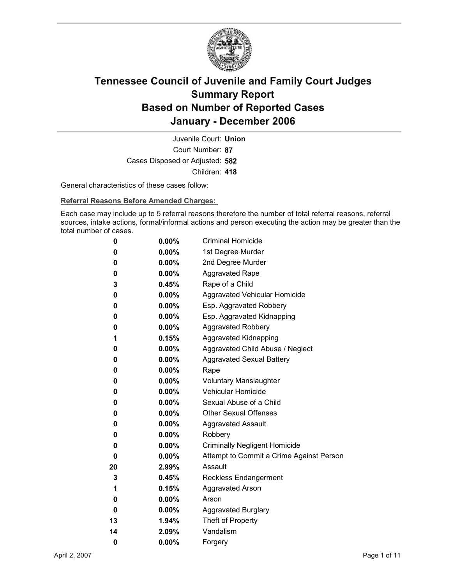

Court Number: **87** Juvenile Court: **Union** Cases Disposed or Adjusted: **582** Children: **418**

General characteristics of these cases follow:

**Referral Reasons Before Amended Charges:** 

Each case may include up to 5 referral reasons therefore the number of total referral reasons, referral sources, intake actions, formal/informal actions and person executing the action may be greater than the total number of cases.

| 0  | $0.00\%$ | <b>Criminal Homicide</b>                 |
|----|----------|------------------------------------------|
| 0  | $0.00\%$ | 1st Degree Murder                        |
| 0  | $0.00\%$ | 2nd Degree Murder                        |
| 0  | $0.00\%$ | <b>Aggravated Rape</b>                   |
| 3  | 0.45%    | Rape of a Child                          |
| 0  | $0.00\%$ | Aggravated Vehicular Homicide            |
| 0  | $0.00\%$ | Esp. Aggravated Robbery                  |
| 0  | $0.00\%$ | Esp. Aggravated Kidnapping               |
| 0  | $0.00\%$ | <b>Aggravated Robbery</b>                |
| 1  | 0.15%    | <b>Aggravated Kidnapping</b>             |
| 0  | $0.00\%$ | Aggravated Child Abuse / Neglect         |
| 0  | $0.00\%$ | <b>Aggravated Sexual Battery</b>         |
| 0  | $0.00\%$ | Rape                                     |
| 0  | $0.00\%$ | <b>Voluntary Manslaughter</b>            |
| 0  | $0.00\%$ | <b>Vehicular Homicide</b>                |
| 0  | $0.00\%$ | Sexual Abuse of a Child                  |
| 0  | $0.00\%$ | <b>Other Sexual Offenses</b>             |
| 0  | $0.00\%$ | <b>Aggravated Assault</b>                |
| 0  | $0.00\%$ | Robbery                                  |
| 0  | $0.00\%$ | <b>Criminally Negligent Homicide</b>     |
| 0  | $0.00\%$ | Attempt to Commit a Crime Against Person |
| 20 | $2.99\%$ | Assault                                  |
| 3  | $0.45\%$ | <b>Reckless Endangerment</b>             |
| 1  | 0.15%    | <b>Aggravated Arson</b>                  |
| 0  | $0.00\%$ | Arson                                    |
| 0  | $0.00\%$ | <b>Aggravated Burglary</b>               |
| 13 | 1.94%    | Theft of Property                        |
| 14 | 2.09%    | Vandalism                                |
| 0  | 0.00%    | Forgery                                  |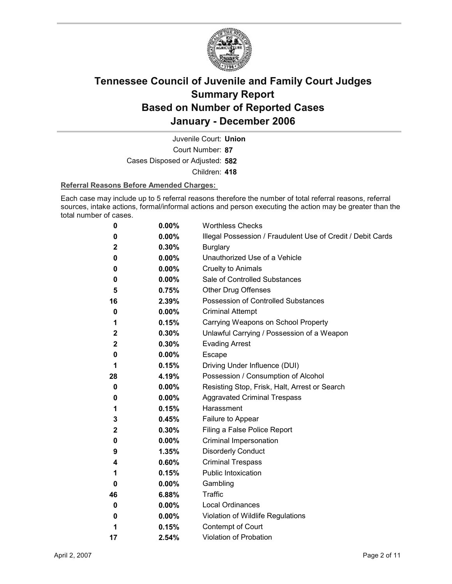

Court Number: **87** Juvenile Court: **Union** Cases Disposed or Adjusted: **582** Children: **418**

### **Referral Reasons Before Amended Charges:**

Each case may include up to 5 referral reasons therefore the number of total referral reasons, referral sources, intake actions, formal/informal actions and person executing the action may be greater than the total number of cases.

| 0            | 0.00%    | <b>Worthless Checks</b>                                     |
|--------------|----------|-------------------------------------------------------------|
| 0            | 0.00%    | Illegal Possession / Fraudulent Use of Credit / Debit Cards |
| $\mathbf 2$  | 0.30%    | <b>Burglary</b>                                             |
| 0            | $0.00\%$ | Unauthorized Use of a Vehicle                               |
| 0            | 0.00%    | <b>Cruelty to Animals</b>                                   |
| 0            | $0.00\%$ | Sale of Controlled Substances                               |
| 5            | 0.75%    | <b>Other Drug Offenses</b>                                  |
| 16           | 2.39%    | <b>Possession of Controlled Substances</b>                  |
| 0            | 0.00%    | <b>Criminal Attempt</b>                                     |
| 1            | 0.15%    | Carrying Weapons on School Property                         |
| $\mathbf{2}$ | 0.30%    | Unlawful Carrying / Possession of a Weapon                  |
| 2            | 0.30%    | <b>Evading Arrest</b>                                       |
| 0            | 0.00%    | Escape                                                      |
| 1            | 0.15%    | Driving Under Influence (DUI)                               |
| 28           | 4.19%    | Possession / Consumption of Alcohol                         |
| 0            | $0.00\%$ | Resisting Stop, Frisk, Halt, Arrest or Search               |
| 0            | $0.00\%$ | <b>Aggravated Criminal Trespass</b>                         |
| 1            | 0.15%    | Harassment                                                  |
| 3            | 0.45%    | Failure to Appear                                           |
| 2            | 0.30%    | Filing a False Police Report                                |
| 0            | 0.00%    | Criminal Impersonation                                      |
| 9            | 1.35%    | <b>Disorderly Conduct</b>                                   |
| 4            | 0.60%    | <b>Criminal Trespass</b>                                    |
| 1            | 0.15%    | <b>Public Intoxication</b>                                  |
| 0            | $0.00\%$ | Gambling                                                    |
| 46           | 6.88%    | Traffic                                                     |
| 0            | 0.00%    | Local Ordinances                                            |
| 0            | $0.00\%$ | Violation of Wildlife Regulations                           |
| 1            | 0.15%    | Contempt of Court                                           |
| 17           | 2.54%    | <b>Violation of Probation</b>                               |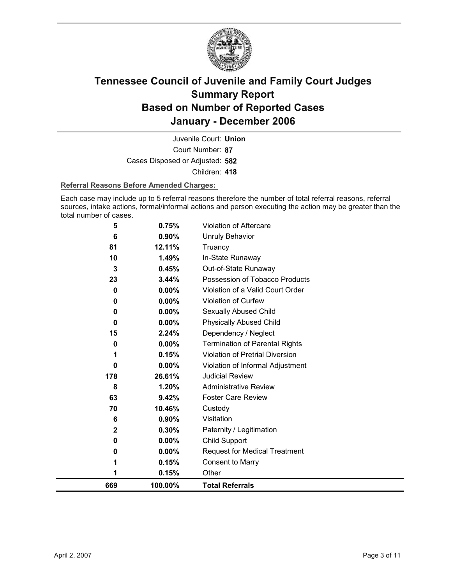

Court Number: **87** Juvenile Court: **Union** Cases Disposed or Adjusted: **582** Children: **418**

### **Referral Reasons Before Amended Charges:**

Each case may include up to 5 referral reasons therefore the number of total referral reasons, referral sources, intake actions, formal/informal actions and person executing the action may be greater than the total number of cases.

| 669 | 100.00%               | <b>Total Referrals</b>                |
|-----|-----------------------|---------------------------------------|
|     | 0.15%<br>1            | Other                                 |
|     | 0.15%<br>1            | <b>Consent to Marry</b>               |
|     | $0.00\%$<br>0         | <b>Request for Medical Treatment</b>  |
|     | 0.00%<br>0            | Child Support                         |
|     | 0.30%<br>$\mathbf{2}$ | Paternity / Legitimation              |
|     | 0.90%<br>6            | Visitation                            |
|     | 10.46%<br>70          | Custody                               |
|     | 63<br>9.42%           | <b>Foster Care Review</b>             |
|     | 8<br>1.20%            | <b>Administrative Review</b>          |
| 178 | 26.61%                | <b>Judicial Review</b>                |
|     | 0.00%<br>0            | Violation of Informal Adjustment      |
|     | 0.15%<br>1            | Violation of Pretrial Diversion       |
|     | 0.00%<br>0            | <b>Termination of Parental Rights</b> |
|     | 2.24%<br>15           | Dependency / Neglect                  |
|     | 0.00%<br>0            | <b>Physically Abused Child</b>        |
|     | $0.00\%$<br>0         | Sexually Abused Child                 |
|     | 0.00%<br>0            | <b>Violation of Curfew</b>            |
|     | 0.00%<br>0            | Violation of a Valid Court Order      |
|     | 23<br>3.44%           | Possession of Tobacco Products        |
|     | 3<br>0.45%            | Out-of-State Runaway                  |
|     | 10<br>1.49%           | In-State Runaway                      |
| 81  | 6<br>0.90%<br>12.11%  | <b>Unruly Behavior</b><br>Truancy     |
|     |                       |                                       |
|     | 0.75%<br>5            | Violation of Aftercare                |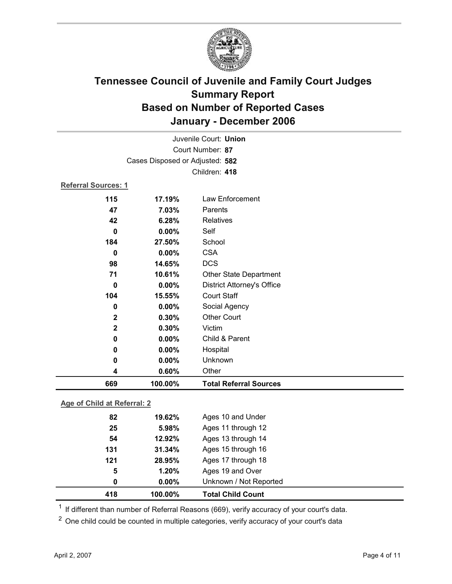

|                                 |         | Juvenile Court: Union             |  |  |
|---------------------------------|---------|-----------------------------------|--|--|
| Court Number: 87                |         |                                   |  |  |
| Cases Disposed or Adjusted: 582 |         |                                   |  |  |
|                                 |         | Children: 418                     |  |  |
| <b>Referral Sources: 1</b>      |         |                                   |  |  |
| 115                             | 17.19%  | Law Enforcement                   |  |  |
| 47                              | 7.03%   | Parents                           |  |  |
| 42                              | 6.28%   | Relatives                         |  |  |
| $\mathbf 0$                     | 0.00%   | Self                              |  |  |
| 184                             | 27.50%  | School                            |  |  |
| $\bf{0}$                        | 0.00%   | <b>CSA</b>                        |  |  |
| 98                              | 14.65%  | <b>DCS</b>                        |  |  |
| 71                              | 10.61%  | <b>Other State Department</b>     |  |  |
| $\bf{0}$                        | 0.00%   | <b>District Attorney's Office</b> |  |  |
| 104                             | 15.55%  | <b>Court Staff</b>                |  |  |
| $\mathbf 0$                     | 0.00%   | Social Agency                     |  |  |
| $\mathbf{2}$                    | 0.30%   | <b>Other Court</b>                |  |  |
| $\overline{\mathbf{2}}$         | 0.30%   | Victim                            |  |  |
| 0                               | 0.00%   | Child & Parent                    |  |  |
| 0                               | 0.00%   | Hospital                          |  |  |
| $\bf{0}$                        | 0.00%   | Unknown                           |  |  |
| 4                               | 0.60%   | Other                             |  |  |
| 669                             | 100.00% | <b>Total Referral Sources</b>     |  |  |
| Age of Child at Referral: 2     |         |                                   |  |  |
| 82                              | 19.62%  | Ages 10 and Under                 |  |  |

| 418 | 100.00%  | <b>Total Child Count</b> |  |
|-----|----------|--------------------------|--|
| 0   | $0.00\%$ | Unknown / Not Reported   |  |
| 5   | 1.20%    | Ages 19 and Over         |  |
| 121 | 28.95%   | Ages 17 through 18       |  |
| 131 | 31.34%   | Ages 15 through 16       |  |
| 54  | 12.92%   | Ages 13 through 14       |  |
| 25  | 5.98%    | Ages 11 through 12       |  |
| 82  | 19.62%   | Ages 10 and Under        |  |
|     |          |                          |  |

<sup>1</sup> If different than number of Referral Reasons (669), verify accuracy of your court's data.

<sup>2</sup> One child could be counted in multiple categories, verify accuracy of your court's data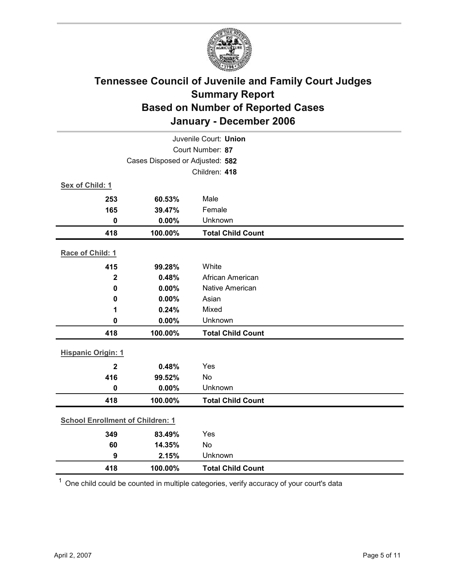

|                                         | Juvenile Court: Union |                          |  |  |  |
|-----------------------------------------|-----------------------|--------------------------|--|--|--|
| Court Number: 87                        |                       |                          |  |  |  |
| Cases Disposed or Adjusted: 582         |                       |                          |  |  |  |
|                                         |                       | Children: 418            |  |  |  |
| Sex of Child: 1                         |                       |                          |  |  |  |
| 253                                     | 60.53%                | Male                     |  |  |  |
| 165                                     | 39.47%                | Female                   |  |  |  |
| $\mathbf 0$                             | 0.00%                 | Unknown                  |  |  |  |
| 418                                     | 100.00%               | <b>Total Child Count</b> |  |  |  |
| Race of Child: 1                        |                       |                          |  |  |  |
|                                         |                       |                          |  |  |  |
| 415                                     | 99.28%                | White                    |  |  |  |
| $\mathbf{2}$                            | 0.48%                 | African American         |  |  |  |
| $\mathbf 0$                             | 0.00%                 | <b>Native American</b>   |  |  |  |
| $\mathbf 0$                             | 0.00%                 | Asian                    |  |  |  |
| 1                                       | 0.24%                 | Mixed                    |  |  |  |
| $\mathbf 0$                             | $0.00\%$              | Unknown                  |  |  |  |
| 418                                     | 100.00%               | <b>Total Child Count</b> |  |  |  |
| <b>Hispanic Origin: 1</b>               |                       |                          |  |  |  |
| $\overline{2}$                          | 0.48%                 | Yes                      |  |  |  |
| 416                                     | 99.52%                | <b>No</b>                |  |  |  |
| $\mathbf 0$                             | 0.00%                 | Unknown                  |  |  |  |
| 418                                     | 100.00%               | <b>Total Child Count</b> |  |  |  |
| <b>School Enrollment of Children: 1</b> |                       |                          |  |  |  |
| 349                                     |                       | Yes                      |  |  |  |
| 60                                      | 83.49%<br>14.35%      | No                       |  |  |  |
| 9                                       | 2.15%                 | Unknown                  |  |  |  |
|                                         |                       |                          |  |  |  |
| 418                                     | 100.00%               | <b>Total Child Count</b> |  |  |  |

 $1$  One child could be counted in multiple categories, verify accuracy of your court's data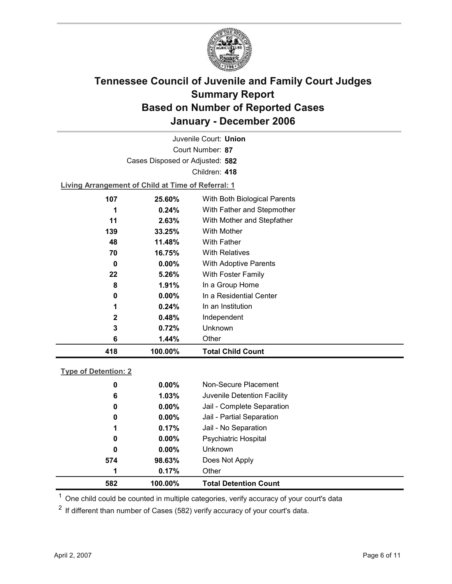

Court Number: **87** Juvenile Court: **Union** Cases Disposed or Adjusted: **582** Children: **418**

**Living Arrangement of Child at Time of Referral: 1**

| 418 | 100.00%               | <b>Total Child Count</b>     |
|-----|-----------------------|------------------------------|
|     | 6<br>1.44%            | Other                        |
|     | 3<br>0.72%            | Unknown                      |
|     | $\mathbf{2}$<br>0.48% | Independent                  |
|     | 1<br>$0.24\%$         | In an Institution            |
|     | $0.00\%$<br>0         | In a Residential Center      |
|     | 8<br>1.91%            | In a Group Home              |
| 22  | $5.26\%$              | With Foster Family           |
|     | $0.00\%$<br>0         | <b>With Adoptive Parents</b> |
| 70  | 16.75%                | <b>With Relatives</b>        |
| 48  | 11.48%                | <b>With Father</b>           |
| 139 | 33.25%                | With Mother                  |
| 11  | $2.63\%$              | With Mother and Stepfather   |
|     | $0.24\%$<br>1         | With Father and Stepmother   |
| 107 | 25.60%                | With Both Biological Parents |
|     |                       |                              |

### **Type of Detention: 2**

| 582 | 100.00%  | <b>Total Detention Count</b> |
|-----|----------|------------------------------|
| 1   | 0.17%    | Other                        |
| 574 | 98.63%   | Does Not Apply               |
| 0   | $0.00\%$ | <b>Unknown</b>               |
| 0   | $0.00\%$ | <b>Psychiatric Hospital</b>  |
| 1   | 0.17%    | Jail - No Separation         |
| 0   | $0.00\%$ | Jail - Partial Separation    |
| 0   | $0.00\%$ | Jail - Complete Separation   |
| 6   | 1.03%    | Juvenile Detention Facility  |
| 0   | $0.00\%$ | Non-Secure Placement         |
|     |          |                              |

 $<sup>1</sup>$  One child could be counted in multiple categories, verify accuracy of your court's data</sup>

 $2$  If different than number of Cases (582) verify accuracy of your court's data.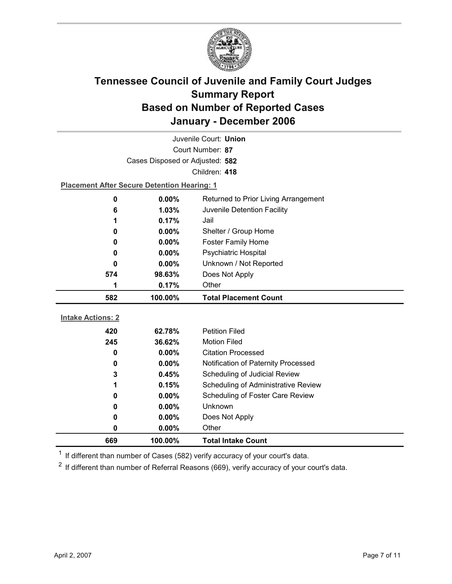

|                                 | Juvenile Court: Union                              |                                      |  |  |
|---------------------------------|----------------------------------------------------|--------------------------------------|--|--|
|                                 | Court Number: 87                                   |                                      |  |  |
| Cases Disposed or Adjusted: 582 |                                                    |                                      |  |  |
|                                 |                                                    | Children: 418                        |  |  |
|                                 | <b>Placement After Secure Detention Hearing: 1</b> |                                      |  |  |
| 0                               | 0.00%                                              | Returned to Prior Living Arrangement |  |  |
| 6                               | 1.03%                                              | Juvenile Detention Facility          |  |  |
| 1                               | 0.17%                                              | Jail                                 |  |  |
| 0                               | $0.00\%$                                           | Shelter / Group Home                 |  |  |
| 0                               | 0.00%                                              | <b>Foster Family Home</b>            |  |  |
| 0                               | 0.00%                                              | <b>Psychiatric Hospital</b>          |  |  |
| 0                               | $0.00\%$                                           | Unknown / Not Reported               |  |  |
| 574                             | 98.63%                                             | Does Not Apply                       |  |  |
| 1                               | 0.17%                                              | Other                                |  |  |
|                                 |                                                    |                                      |  |  |
| 582                             | 100.00%                                            | <b>Total Placement Count</b>         |  |  |
|                                 |                                                    |                                      |  |  |
| <b>Intake Actions: 2</b>        |                                                    |                                      |  |  |
| 420                             | 62.78%                                             | <b>Petition Filed</b>                |  |  |
| 245                             | 36.62%                                             | <b>Motion Filed</b>                  |  |  |
| 0                               | $0.00\%$                                           | <b>Citation Processed</b>            |  |  |
| 0                               | $0.00\%$                                           | Notification of Paternity Processed  |  |  |
| 3                               | 0.45%                                              | Scheduling of Judicial Review        |  |  |
| 1                               | 0.15%                                              | Scheduling of Administrative Review  |  |  |
| 0                               | $0.00\%$                                           | Scheduling of Foster Care Review     |  |  |
| 0                               | 0.00%                                              | Unknown                              |  |  |
| 0                               | 0.00%                                              | Does Not Apply                       |  |  |
| 0<br>669                        | 0.00%<br>100.00%                                   | Other<br><b>Total Intake Count</b>   |  |  |

 $1$  If different than number of Cases (582) verify accuracy of your court's data.

 $2$  If different than number of Referral Reasons (669), verify accuracy of your court's data.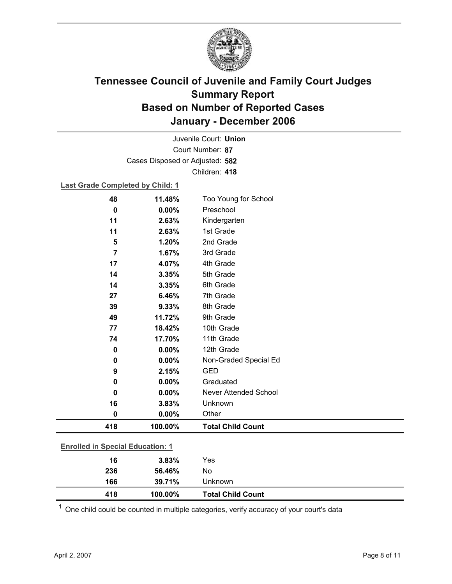

Court Number: **87** Juvenile Court: **Union** Cases Disposed or Adjusted: **582** Children: **418**

### **Last Grade Completed by Child: 1**

| 48                                      | 11.48%  | Too Young for School         |
|-----------------------------------------|---------|------------------------------|
| 0                                       | 0.00%   | Preschool                    |
| 11                                      | 2.63%   | Kindergarten                 |
| 11                                      | 2.63%   | 1st Grade                    |
| 5                                       | 1.20%   | 2nd Grade                    |
| $\overline{7}$                          | 1.67%   | 3rd Grade                    |
| 17                                      | 4.07%   | 4th Grade                    |
| 14                                      | 3.35%   | 5th Grade                    |
| 14                                      | 3.35%   | 6th Grade                    |
| 27                                      | 6.46%   | 7th Grade                    |
| 39                                      | 9.33%   | 8th Grade                    |
| 49                                      | 11.72%  | 9th Grade                    |
| 77                                      | 18.42%  | 10th Grade                   |
| 74                                      | 17.70%  | 11th Grade                   |
| 0                                       | 0.00%   | 12th Grade                   |
| 0                                       | 0.00%   | Non-Graded Special Ed        |
| 9                                       | 2.15%   | <b>GED</b>                   |
| 0                                       | 0.00%   | Graduated                    |
| 0                                       | 0.00%   | <b>Never Attended School</b> |
| 16                                      | 3.83%   | Unknown                      |
| 0                                       | 0.00%   | Other                        |
| 418                                     | 100.00% | <b>Total Child Count</b>     |
|                                         |         |                              |
| <b>Enrolled in Special Education: 1</b> |         |                              |
| 16                                      | 3.83%   | Yes                          |

| 418 | 100.00% | <b>Total Child Count</b> |  |
|-----|---------|--------------------------|--|
| 166 | 39.71%  | Unknown                  |  |
| 236 | 56.46%  | No                       |  |

 $1$  One child could be counted in multiple categories, verify accuracy of your court's data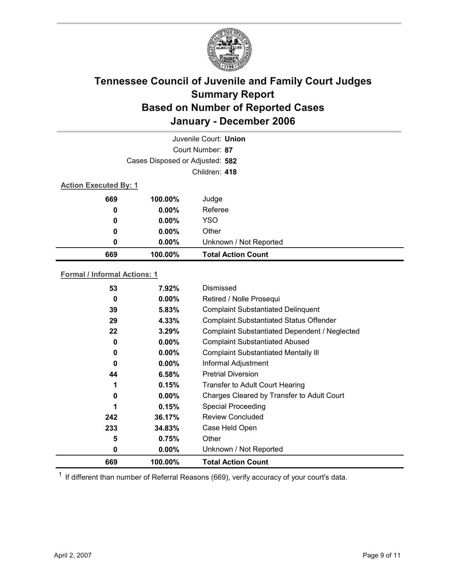

|                              |                                 | Juvenile Court: Union     |  |  |
|------------------------------|---------------------------------|---------------------------|--|--|
|                              |                                 | Court Number: 87          |  |  |
|                              | Cases Disposed or Adjusted: 582 |                           |  |  |
|                              |                                 | Children: 418             |  |  |
| <b>Action Executed By: 1</b> |                                 |                           |  |  |
| 669                          | 100.00%                         | Judge                     |  |  |
| 0                            | $0.00\%$                        | Referee                   |  |  |
| $\boldsymbol{0}$             | $0.00\%$                        | <b>YSO</b>                |  |  |
| 0                            | $0.00\%$                        | Other                     |  |  |
| 0                            | $0.00\%$                        | Unknown / Not Reported    |  |  |
| 669                          | 100.00%                         | <b>Total Action Count</b> |  |  |

### **Formal / Informal Actions: 1**

| 669      | 100.00%  | <b>Total Action Count</b>                      |
|----------|----------|------------------------------------------------|
| 0        | $0.00\%$ | Unknown / Not Reported                         |
| 5        | 0.75%    | Other                                          |
| 233      | 34.83%   | Case Held Open                                 |
| 242      | 36.17%   | <b>Review Concluded</b>                        |
| 1        | 0.15%    | <b>Special Proceeding</b>                      |
| $\bf{0}$ | $0.00\%$ | Charges Cleared by Transfer to Adult Court     |
| 1        | 0.15%    | Transfer to Adult Court Hearing                |
| 44       | 6.58%    | <b>Pretrial Diversion</b>                      |
| 0        | $0.00\%$ | Informal Adjustment                            |
| 0        | $0.00\%$ | <b>Complaint Substantiated Mentally III</b>    |
| 0        | $0.00\%$ | <b>Complaint Substantiated Abused</b>          |
| 22       | 3.29%    | Complaint Substantiated Dependent / Neglected  |
| 29       | 4.33%    | <b>Complaint Substantiated Status Offender</b> |
| 39       | $5.83\%$ | <b>Complaint Substantiated Delinquent</b>      |
| 0        | $0.00\%$ | Retired / Nolle Prosequi                       |
| 53       | 7.92%    | Dismissed                                      |
|          |          |                                                |

 $1$  If different than number of Referral Reasons (669), verify accuracy of your court's data.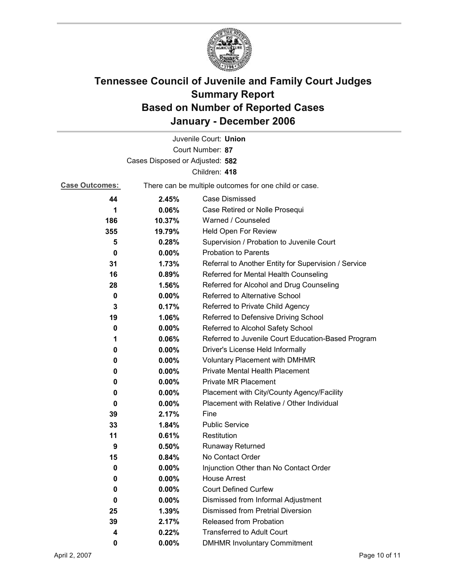

|                                 |                                                       | Juvenile Court: Union                                |  |  |
|---------------------------------|-------------------------------------------------------|------------------------------------------------------|--|--|
|                                 |                                                       | Court Number: 87                                     |  |  |
| Cases Disposed or Adjusted: 582 |                                                       |                                                      |  |  |
|                                 |                                                       | Children: 418                                        |  |  |
| <b>Case Outcomes:</b>           | There can be multiple outcomes for one child or case. |                                                      |  |  |
| 44                              | 2.45%                                                 | <b>Case Dismissed</b>                                |  |  |
| 1                               | 0.06%                                                 | Case Retired or Nolle Prosequi                       |  |  |
| 186                             | 10.37%                                                | Warned / Counseled                                   |  |  |
| 355                             | 19.79%                                                | Held Open For Review                                 |  |  |
| 5                               | 0.28%                                                 | Supervision / Probation to Juvenile Court            |  |  |
| 0                               | $0.00\%$                                              | <b>Probation to Parents</b>                          |  |  |
| 31                              | 1.73%                                                 | Referral to Another Entity for Supervision / Service |  |  |
| 16                              | 0.89%                                                 | Referred for Mental Health Counseling                |  |  |
| 28                              | 1.56%                                                 | Referred for Alcohol and Drug Counseling             |  |  |
| 0                               | 0.00%                                                 | Referred to Alternative School                       |  |  |
| 3                               | 0.17%                                                 | Referred to Private Child Agency                     |  |  |
| 19                              | 1.06%                                                 | Referred to Defensive Driving School                 |  |  |
| 0                               | $0.00\%$                                              | Referred to Alcohol Safety School                    |  |  |
| 1                               | 0.06%                                                 | Referred to Juvenile Court Education-Based Program   |  |  |
| 0                               | 0.00%                                                 | Driver's License Held Informally                     |  |  |
| 0                               | $0.00\%$                                              | Voluntary Placement with DMHMR                       |  |  |
| 0                               | 0.00%                                                 | Private Mental Health Placement                      |  |  |
| 0                               | $0.00\%$                                              | <b>Private MR Placement</b>                          |  |  |
| 0                               | $0.00\%$                                              | Placement with City/County Agency/Facility           |  |  |
| 0                               | $0.00\%$                                              | Placement with Relative / Other Individual           |  |  |
| 39                              | 2.17%                                                 | Fine                                                 |  |  |
| 33                              | 1.84%                                                 | <b>Public Service</b>                                |  |  |
| 11                              | 0.61%                                                 | Restitution                                          |  |  |
| 9                               | 0.50%                                                 | <b>Runaway Returned</b>                              |  |  |
| 15                              | 0.84%                                                 | No Contact Order                                     |  |  |
| 0                               | 0.00%                                                 | Injunction Other than No Contact Order               |  |  |
| 0                               | 0.00%                                                 | <b>House Arrest</b>                                  |  |  |
| 0                               | $0.00\%$                                              | <b>Court Defined Curfew</b>                          |  |  |
| 0                               | $0.00\%$                                              | Dismissed from Informal Adjustment                   |  |  |
| 25                              | 1.39%                                                 | <b>Dismissed from Pretrial Diversion</b>             |  |  |
| 39                              | 2.17%                                                 | Released from Probation                              |  |  |
| 4                               | 0.22%                                                 | <b>Transferred to Adult Court</b>                    |  |  |
| 0                               | $0.00\%$                                              | <b>DMHMR Involuntary Commitment</b>                  |  |  |